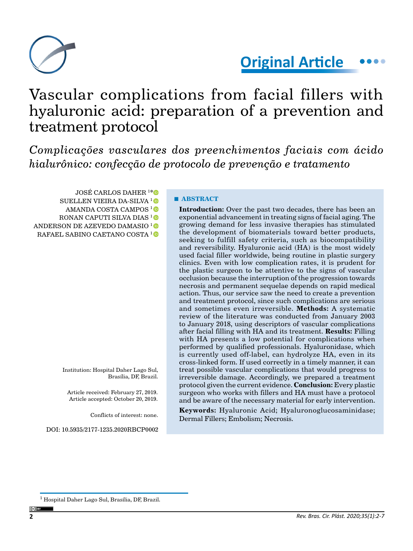

# **Original Article**

# Vascular complications from facial fillers with hyaluronic acid: preparation of a prevention and treatment protocol

*Complicações vasculares dos preenchimentos faciais com ácido hialurônico: confecção de protocolo de prevenção e tratamento*

JOSÉ CARLOS DAHER 1 [\\*](https://orcid.org/0000-0002-1060-1171) SUELLEN VIEIRA DA-SILVA <sup>1</sup> AMANDA COSTA CAMPOS<sup>1</sup><sup>D</sup> RONAN CAPUTI SILVA DIAS<sup>1</sup><sup>®</sup> ANDERSON DE AZEVEDO DAMASIO [1](https://orcid.org/0000-0002-0671-8043)  RAFAEL SABINO CAETANO COSTA 10

> Institution: Hospital Daher Lago Sul, Brasília, DF, Brazil.

Article received: February 27, 2019. Article accepted: October 20, 2019.

Conflicts of interest: none.

DOI: 10.5935/2177-1235.2020RBCP0002

### **■ ABSTRACT**

**Introduction:** Over the past two decades, there has been an exponential advancement in treating signs of facial aging. The growing demand for less invasive therapies has stimulated the development of biomaterials toward better products, seeking to fulfill safety criteria, such as biocompatibility and reversibility. Hyaluronic acid (HA) is the most widely used facial filler worldwide, being routine in plastic surgery clinics. Even with low complication rates, it is prudent for the plastic surgeon to be attentive to the signs of vascular occlusion because the interruption of the progression towards necrosis and permanent sequelae depends on rapid medical action. Thus, our service saw the need to create a prevention and treatment protocol, since such complications are serious and sometimes even irreversible. **Methods:** A systematic review of the literature was conducted from January 2003 to January 2018, using descriptors of vascular complications after facial filling with HA and its treatment. **Results:** Filling with HA presents a low potential for complications when performed by qualified professionals. Hyaluronidase, which is currently used off-label, can hydrolyze HA, even in its cross-linked form. If used correctly in a timely manner, it can treat possible vascular complications that would progress to irreversible damage. Accordingly, we prepared a treatment protocol given the current evidence. **Conclusion:** Every plastic surgeon who works with fillers and HA must have a protocol and be aware of the necessary material for early intervention.

**Keywords:** Hyaluronic Acid; Hyaluronoglucosaminidase; Dermal Fillers; Embolism; Necrosis.

<sup>&</sup>lt;sup>1</sup> Hospital Daher Lago Sul, Brasília, DF, Brazil.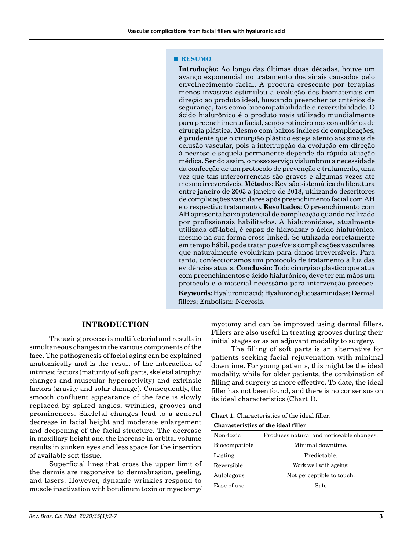#### **■ RESUMO**

**Introdução:** Ao longo das últimas duas décadas, houve um avanço exponencial no tratamento dos sinais causados pelo envelhecimento facial. A procura crescente por terapias menos invasivas estimulou a evolução dos biomateriais em direção ao produto ideal, buscando preencher os critérios de segurança, tais como biocompatibilidade e reversibilidade. O ácido hialurônico é o produto mais utilizado mundialmente para preenchimento facial, sendo rotineiro nos consultórios de cirurgia plástica. Mesmo com baixos índices de complicações, é prudente que o cirurgião plástico esteja atento aos sinais de oclusão vascular, pois a interrupção da evolução em direção à necrose e sequela permanente depende da rápida atuação médica. Sendo assim, o nosso serviço vislumbrou a necessidade da confecção de um protocolo de prevenção e tratamento, uma vez que tais intercorrências são graves e algumas vezes até mesmo irreversíveis. **Métodos:** Revisão sistemática da literatura entre janeiro de 2003 a janeiro de 2018, utilizando descritores de complicações vasculares após preenchimento facial com AH e o respectivo tratamento. **Resultados:** O preenchimento com AH apresenta baixo potencial de complicação quando realizado por profissionais habilitados. A hialuronidase, atualmente utilizada off-label, é capaz de hidrolisar o ácido hialurônico, mesmo na sua forma cross-linked. Se utilizada corretamente em tempo hábil, pode tratar possíveis complicações vasculares que naturalmente evoluiriam para danos irreversíveis. Para tanto, confeccionamos um protocolo de tratamento à luz das evidências atuais. **Conclusão:** Todo cirurgião plástico que atua com preenchimentos e ácido hialurônico, deve ter em mãos um protocolo e o material necessário para intervenção precoce.

**Keywords:** Hyaluronic acid; Hyaluronoglucosaminidase; Dermal fillers; Embolism; Necrosis.

#### **INTRODUCTION**

The aging process is multifactorial and results in simultaneous changes in the various components of the face. The pathogenesis of facial aging can be explained anatomically and is the result of the interaction of intrinsic factors (maturity of soft parts, skeletal atrophy/ changes and muscular hyperactivity) and extrinsic factors (gravity and solar damage). Consequently, the smooth confluent appearance of the face is slowly replaced by spiked angles, wrinkles, grooves and prominences. Skeletal changes lead to a general decrease in facial height and moderate enlargement and deepening of the facial structure. The decrease in maxillary height and the increase in orbital volume results in sunken eyes and less space for the insertion of available soft tissue.

Superficial lines that cross the upper limit of the dermis are responsive to dermabrasion, peeling*,*  and lasers. However, dynamic wrinkles respond to muscle inactivation with botulinum toxin or myectomy/ myotomy and can be improved using dermal fillers. Fillers are also useful in treating grooves during their initial stages or as an adjuvant modality to surgery.

The filling of soft parts is an alternative for patients seeking facial rejuvenation with minimal downtime. For young patients, this might be the ideal modality, while for older patients, the combination of filling and surgery is more effective. To date, the ideal filler has not been found, and there is no consensus on its ideal characteristics (Chart 1).

**Chart 1.** Characteristics of the ideal filler.

| <b>Characteristics of the ideal filler</b> |                                          |
|--------------------------------------------|------------------------------------------|
| Non-toxic                                  | Produces natural and noticeable changes. |
| Biocompatible                              | Minimal downtime.                        |
| Lasting                                    | Predictable.                             |
| Reversible                                 | Work well with ageing.                   |
| Autologous                                 | Not perceptible to touch.                |
| Ease of use                                | Safe                                     |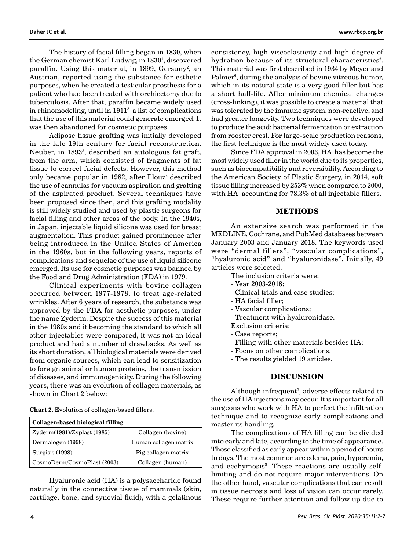The history of facial filling began in 1830, when the German chemist Karl Ludwig, in 1830<sup>1</sup>, discovered paraffin. Using this material, in 1899, Gersuny $^2$ , an Austrian, reported using the substance for esthetic purposes, when he created a testicular prosthesis for a patient who had been treated with orchiectomy due to tuberculosis. After that, paraffin became widely used in rhinomodeling, until in  $1911<sup>2</sup>$  a list of complications that the use of this material could generate emerged. It was then abandoned for cosmetic purposes.

Adipose tissue grafting was initially developed in the late 19th century for facial reconstruction. Neuber, in 18933 , described an autologous fat graft, from the arm, which consisted of fragments of fat tissue to correct facial defects. However, this method only became popular in 1982, after Illouz<sup>4</sup> described the use of cannulas for vacuum aspiration and grafting of the aspirated product. Several techniques have been proposed since then, and this grafting modality is still widely studied and used by plastic surgeons for facial filling and other areas of the body. In the 1940s, in Japan, injectable liquid silicone was used for breast augmentation. This product gained prominence after being introduced in the United States of America in the 1960s, but in the following years, reports of complications and sequelae of the use of liquid silicone emerged. Its use for cosmetic purposes was banned by the Food and Drug Administration (FDA) in 1979.

Clinical experiments with bovine collagen occurred between 1977-1978, to treat age-related wrinkles. After 6 years of research, the substance was approved by the FDA for aesthetic purposes, under the name Zyderm. Despite the success of this material in the 1980s and it becoming the standard to which all other injectables were compared, it was not an ideal product and had a number of drawbacks. As well as its short duration, all biological materials were derived from organic sources, which can lead to sensitization to foreign animal or human proteins, the transmission of diseases, and immunogenicity. During the following years, there was an evolution of collagen materials, as shown in Chart 2 below:

**Chart 2.** Evolution of collagen-based fillers.

| Collagen-based biological filling |                       |  |
|-----------------------------------|-----------------------|--|
| Zyderm(1981)/Zyplast(1985)        | Collagen (bovine)     |  |
| Dermalogen (1998)                 | Human collagen matrix |  |
| Surgisis (1998)                   | Pig collagen matrix   |  |
| CosmoDerm/CosmoPlast (2003)       | Collagen (human)      |  |

Hyaluronic acid (HA) is a polysaccharide found naturally in the connective tissue of mammals (skin, cartilage, bone, and synovial fluid), with a gelatinous consistency, high viscoelasticity and high degree of hydration because of its structural characteristics<sup>5</sup>. This material was first described in 1934 by Meyer and Palmer<sup>6</sup>, during the analysis of bovine vitreous humor, which in its natural state is a very good filler but has a short half-life. After minimum chemical changes (cross-linking), it was possible to create a material that was tolerated by the immune system, non-reactive, and had greater longevity. Two techniques were developed to produce the acid: bacterial fermentation or extraction from rooster crest. For large-scale production reasons, the first technique is the most widely used today.

Since FDA approval in 2003, HA has become the most widely used filler in the world due to its properties, such as biocompatibility and reversibility. According to the American Society of Plastic Surgery, in 2014, soft tissue filling increased by 253% when compared to 2000, with HA accounting for 78.3% of all injectable fillers.

#### **METHODS**

An extensive search was performed in the MEDLINE, Cochrane, and PubMed databases between January 2003 and January 2018. The keywords used were "dermal fillers", "vascular complications", "hyaluronic acid" and "hyaluronidase". Initially, 49 articles were selected.

- The inclusion criteria were:
- Year 2003-2018;
- Clinical trials and case studies;
- HA facial filler;
- Vascular complications;
- Treatment with hyaluronidase.
- Exclusion criteria:
- Case reports;
- Filling with other materials besides HA;
- Focus on other complications.
- The results yielded 19 articles.

#### **DISCUSSION**

Although infrequent<sup>7</sup>, adverse effects related to the use of HA injections may occur. It is important for all surgeons who work with HA to perfect the infiltration technique and to recognize early complications and master its handling.

The complications of HA filling can be divided into early and late, according to the time of appearance. Those classified as early appear within a period of hours to days. The most common are edema, pain, hyperemia, and ecchymosis<sup>8</sup>. These reactions are usually selflimiting and do not require major interventions. On the other hand, vascular complications that can result in tissue necrosis and loss of vision can occur rarely. These require further attention and follow up due to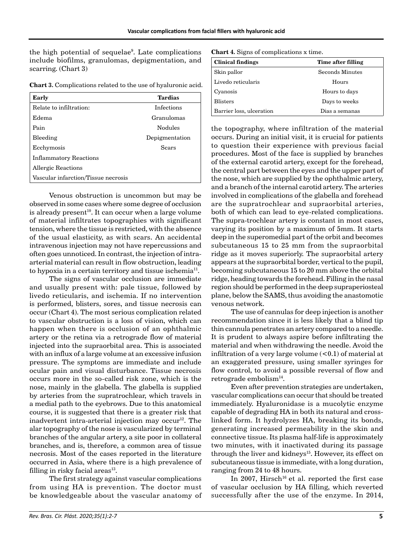the high potential of sequelae9 . Late complications include biofilms, granulomas, depigmentation, and scarring. (Chart 3)

| Chart 3. Complications related to the use of hyaluronic acid. |  |
|---------------------------------------------------------------|--|
|---------------------------------------------------------------|--|

| Early                               | Tardias        |  |
|-------------------------------------|----------------|--|
| Relate to infiltration:             | Infections     |  |
| Edema                               | Granulomas     |  |
| Pain                                | Nodules        |  |
| Bleeding                            | Depigmentation |  |
| Ecchymosis                          | Sears          |  |
| <b>Inflammatory Reactions</b>       |                |  |
| Allergic Reactions                  |                |  |
| Vascular infarction/Tissue necrosis |                |  |

Venous obstruction is uncommon but may be observed in some cases where some degree of occlusion is already present<sup>10</sup>. It can occur when a large volume of material infiltrates topographies with significant tension, where the tissue is restricted, with the absence of the usual elasticity, as with scars. An accidental intravenous injection may not have repercussions and often goes unnoticed. In contrast, the injection of intraarterial material can result in flow obstruction, leading to hypoxia in a certain territory and tissue ischemia<sup>11</sup>.

The signs of vascular occlusion are immediate and usually present with: pale tissue, followed by livedo reticularis, and ischemia. If no intervention is performed, blisters, sores, and tissue necrosis can occur (Chart 4). The most serious complication related to vascular obstruction is a loss of vision, which can happen when there is occlusion of an ophthalmic artery or the retina via a retrograde flow of material injected into the supraorbital area. This is associated with an influx of a large volume at an excessive infusion pressure. The symptoms are immediate and include ocular pain and visual disturbance. Tissue necrosis occurs more in the so-called risk zone, which is the nose, mainly in the glabella. The glabella is supplied by arteries from the supratrochlear, which travels in a medial path to the eyebrows. Due to this anatomical course, it is suggested that there is a greater risk that inadvertent intra-arterial injection may occur<sup>12</sup>. The alar topography of the nose is vascularized by terminal branches of the angular artery, a site poor in collateral branches, and is, therefore, a common area of tissue necrosis. Most of the cases reported in the literature occurred in Asia, where there is a high prevalence of filling in risky facial areas $^{13}$ .

The first strategy against vascular complications from using HA is prevention. The doctor must be knowledgeable about the vascular anatomy of

| <b>Clinical findings</b> | Time after filling |
|--------------------------|--------------------|
| Skin pallor              | Seconds Minutes    |
| Livedo reticularis       | Hours              |
| Cyanosis                 | Hours to days      |
| <b>Blisters</b>          | Days to weeks      |
| Barrier loss, ulceration | Dias a semanas     |

the topography, where infiltration of the material occurs. During an initial visit, it is crucial for patients to question their experience with previous facial procedures. Most of the face is supplied by branches of the external carotid artery, except for the forehead, the central part between the eyes and the upper part of the nose, which are supplied by the ophthalmic artery, and a branch of the internal carotid artery. The arteries involved in complications of the glabella and forehead are the supratrochlear and supraorbital arteries, both of which can lead to eye-related complications. The supra-trochlear artery is constant in most cases, varying its position by a maximum of 5mm. It starts deep in the superomedial part of the orbit and becomes subcutaneous 15 to 25 mm from the supraorbital ridge as it moves superiorly. The supraorbital artery appears at the supraorbital border, vertical to the pupil, becoming subcutaneous 15 to 20 mm above the orbital ridge, heading towards the forehead. Filling in the nasal region should be performed in the deep supraperiosteal plane, below the SAMS, thus avoiding the anastomotic venous network.

The use of cannulas for deep injection is another recommendation since it is less likely that a blind tip thin cannula penetrates an artery compared to a needle. It is prudent to always aspire before infiltrating the material and when withdrawing the needle. Avoid the infiltration of a very large volume  $(<0.1)$  of material at an exaggerated pressure, using smaller syringes for flow control, to avoid a possible reversal of flow and retrograde embolism<sup>14</sup>.

Even after prevention strategies are undertaken, vascular complications can occur that should be treated immediately. Hyaluronidase is a mucolytic enzyme capable of degrading HA in both its natural and crosslinked form. It hydrolyzes HA, breaking its bonds, generating increased permeability in the skin and connective tissue. Its plasma half-life is approximately two minutes, with it inactivated during its passage through the liver and kidneys<sup>15</sup>. However, its effect on subcutaneous tissue is immediate, with a long duration, ranging from 24 to 48 hours.

In 2007, Hirsch<sup>16</sup> et al. reported the first case of vascular occlusion by HA filling, which reverted successfully after the use of the enzyme. In 2014,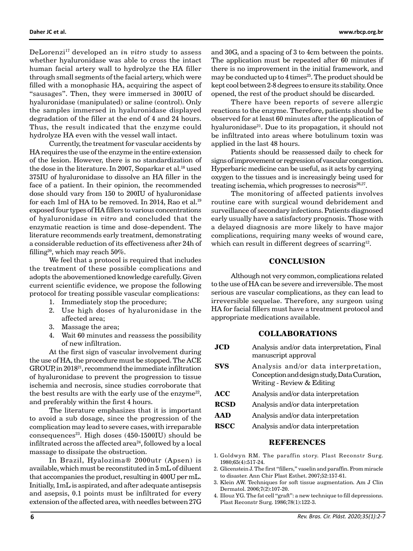DeLorenzi17 developed an *in vitro* study to assess whether hyaluronidase was able to cross the intact human facial artery wall to hydrolyze the HA filler through small segments of the facial artery, which were filled with a monophasic HA, acquiring the aspect of "sausages". Then, they were immersed in 300IU of hyaluronidase (manipulated) or saline (control). Only the samples immersed in hyaluronidase displayed degradation of the filler at the end of 4 and 24 hours. Thus, the result indicated that the enzyme could hydrolyze HA even with the vessel wall intact.

Currently, the treatment for vascular accidents by HA requires the use of the enzyme in the entire extension of the lesion. However, there is no standardization of the dose in the literature. In 2007, Soparkar et al.<sup>18</sup> used 375IU of hyaluronidase to dissolve an HA filler in the face of a patient. In their opinion, the recommended dose should vary from 150 to 200IU of hyaluronidase for each 1ml of HA to be removed. In 2014, Rao et al.<sup>19</sup> exposed four types of HA fillers to various concentrations of hyaluronidase *in vitro* and concluded that the enzymatic reaction is time and dose-dependent. The literature recommends early treatment, demonstrating a considerable reduction of its effectiveness after 24h of filling<sup>20</sup>, which may reach  $50\%$ .

We feel that a protocol is required that includes the treatment of these possible complications and adopts the abovementioned knowledge carefully. Given current scientific evidence, we propose the following protocol for treating possible vascular complications:

- 1. Immediately stop the procedure;
- 2. Use high doses of hyaluronidase in the affected area;
- 3. Massage the area;
- 4. Wait 60 minutes and reassess the possibility of new infiltration.

At the first sign of vascular involvement during the use of HA, the procedure must be stopped. The ACE GROUP, in 201821, recommend the immediate infiltration of hyaluronidase to prevent the progression to tissue ischemia and necrosis, since studies corroborate that the best results are with the early use of the enzyme<sup>22</sup>, and preferably within the first 4 hours.

The literature emphasizes that it is important to avoid a sub dosage, since the progression of the complication may lead to severe cases, with irreparable consequences<sup>23</sup>. High doses  $(450-1500)$  should be infiltrated across the affected area $24$ , followed by a local massage to dissipate the obstruction.

In Brazil, Hyalozima® 2000utr (Apsen) is available, which must be reconstituted in 5 mL of diluent that accompanies the product, resulting in 400U per mL. Initially, 1mL is aspirated, and after adequate antisepsis and asepsis, 0.1 points must be infiltrated for every extension of the affected area, with needles between 27G

and 30G, and a spacing of 3 to 4cm between the points. The application must be repeated after 60 minutes if there is no improvement in the initial framework, and may be conducted up to 4 times<sup>25</sup>. The product should be kept cool between 2-8 degrees to ensure its stability. Once opened, the rest of the product should be discarded.

There have been reports of severe allergic reactions to the enzyme. Therefore, patients should be observed for at least 60 minutes after the application of hyaluronidase<sup>21</sup>. Due to its propagation, it should not be infiltrated into areas where botulinum toxin was applied in the last 48 hours.

Patients should be reassessed daily to check for signs of improvement or regression of vascular congestion. Hyperbaric medicine can be useful, as it acts by carrying oxygen to the tissues and is increasingly being used for treating ischemia, which progresses to necrosis $26,27$ .

The monitoring of affected patients involves routine care with surgical wound debridement and surveillance of secondary infections. Patients diagnosed early usually have a satisfactory prognosis. Those with a delayed diagnosis are more likely to have major complications, requiring many weeks of wound care, which can result in different degrees of scarring<sup>12</sup>.

## **CONCLUSION**

Although not very common, complications related to the use of HA can be severe and irreversible. The most serious are vascular complications, as they can lead to irreversible sequelae. Therefore, any surgeon using HA for facial fillers must have a treatment protocol and appropriate medications available.

#### **COLLABORATIONS**

| <b>JCD</b>  | Analysis and/or data interpretation, Final<br>manuscript approval                                                 |
|-------------|-------------------------------------------------------------------------------------------------------------------|
| <b>SVS</b>  | Analysis and/or data interpretation,<br>Conception and design study, Data Curation,<br>Writing - Review & Editing |
| <b>ACC</b>  | Analysis and/or data interpretation                                                                               |
| <b>RCSD</b> | Analysis and/or data interpretation                                                                               |
| AAD         | Analysis and/or data interpretation                                                                               |
| <b>RSCC</b> | Analysis and/or data interpretation                                                                               |

#### **REFERENCES**

- 1. Goldwyn RM. The paraffin story. Plast Reconstr Surg. 1980;65(4):517-24.
- 2. Glicenstein J. The first "fillers," vaselin and paraffin. From miracle to disaster. Ann Chir Plast Esthet. 2007;52:157-61.
- 3. Klein AW. Techniques for soft tissue augmentation. Am J Clin Dermatol. 2006;7(2):107-20.

4. Illouz YG. The fat cell "graft": a new technique to fill depressions. Plast Reconstr Surg. 1986;78(1):122-3.